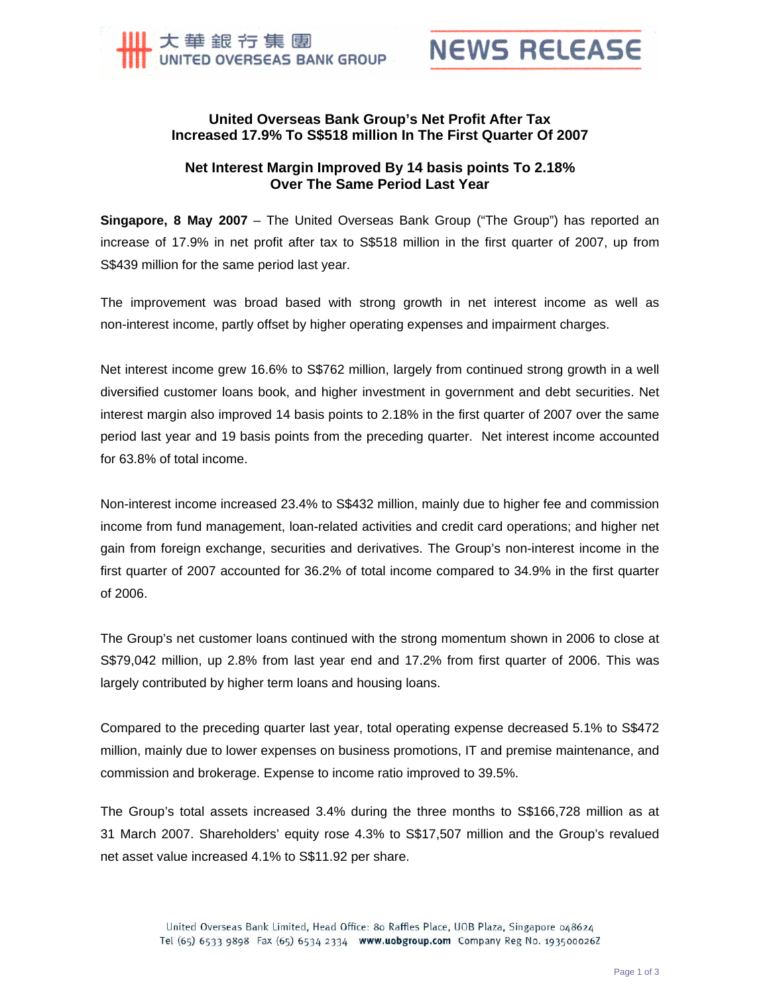



## **United Overseas Bank Group's Net Profit After Tax Increased 17.9% To S\$518 million In The First Quarter Of 2007**

## **Net Interest Margin Improved By 14 basis points To 2.18% Over The Same Period Last Year**

**Singapore, 8 May 2007** – The United Overseas Bank Group ("The Group") has reported an increase of 17.9% in net profit after tax to S\$518 million in the first quarter of 2007, up from S\$439 million for the same period last year.

The improvement was broad based with strong growth in net interest income as well as non-interest income, partly offset by higher operating expenses and impairment charges.

Net interest income grew 16.6% to S\$762 million, largely from continued strong growth in a well diversified customer loans book, and higher investment in government and debt securities. Net interest margin also improved 14 basis points to 2.18% in the first quarter of 2007 over the same period last year and 19 basis points from the preceding quarter. Net interest income accounted for 63.8% of total income.

Non-interest income increased 23.4% to S\$432 million, mainly due to higher fee and commission income from fund management, loan-related activities and credit card operations; and higher net gain from foreign exchange, securities and derivatives. The Group's non-interest income in the first quarter of 2007 accounted for 36.2% of total income compared to 34.9% in the first quarter of 2006.

The Group's net customer loans continued with the strong momentum shown in 2006 to close at S\$79,042 million, up 2.8% from last year end and 17.2% from first quarter of 2006. This was largely contributed by higher term loans and housing loans.

Compared to the preceding quarter last year, total operating expense decreased 5.1% to S\$472 million, mainly due to lower expenses on business promotions, IT and premise maintenance, and commission and brokerage. Expense to income ratio improved to 39.5%.

The Group's total assets increased 3.4% during the three months to S\$166,728 million as at 31 March 2007. Shareholders' equity rose 4.3% to S\$17,507 million and the Group's revalued net asset value increased 4.1% to S\$11.92 per share.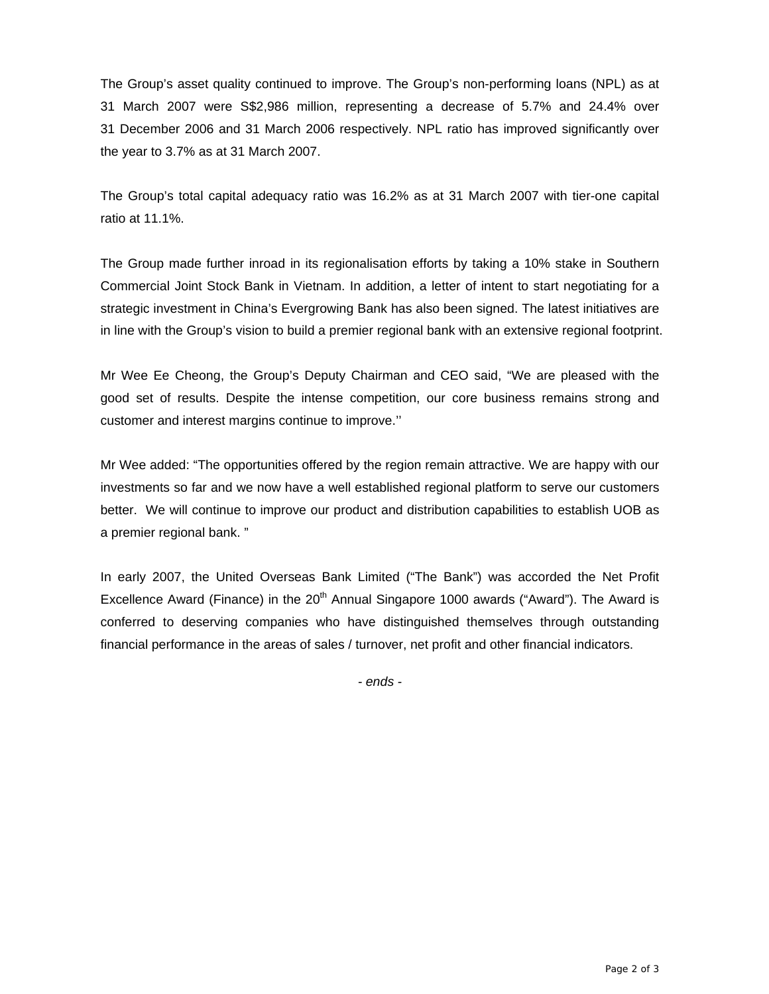The Group's asset quality continued to improve. The Group's non-performing loans (NPL) as at 31 March 2007 were S\$2,986 million, representing a decrease of 5.7% and 24.4% over 31 December 2006 and 31 March 2006 respectively. NPL ratio has improved significantly over the year to 3.7% as at 31 March 2007.

The Group's total capital adequacy ratio was 16.2% as at 31 March 2007 with tier-one capital ratio at 11.1%.

The Group made further inroad in its regionalisation efforts by taking a 10% stake in Southern Commercial Joint Stock Bank in Vietnam. In addition, a letter of intent to start negotiating for a strategic investment in China's Evergrowing Bank has also been signed. The latest initiatives are in line with the Group's vision to build a premier regional bank with an extensive regional footprint.

Mr Wee Ee Cheong, the Group's Deputy Chairman and CEO said, "We are pleased with the good set of results. Despite the intense competition, our core business remains strong and customer and interest margins continue to improve.''

Mr Wee added: "The opportunities offered by the region remain attractive. We are happy with our investments so far and we now have a well established regional platform to serve our customers better. We will continue to improve our product and distribution capabilities to establish UOB as a premier regional bank. "

In early 2007, the United Overseas Bank Limited ("The Bank") was accorded the Net Profit Excellence Award (Finance) in the  $20<sup>th</sup>$  Annual Singapore 1000 awards ("Award"). The Award is conferred to deserving companies who have distinguished themselves through outstanding financial performance in the areas of sales / turnover, net profit and other financial indicators.

*- ends -*